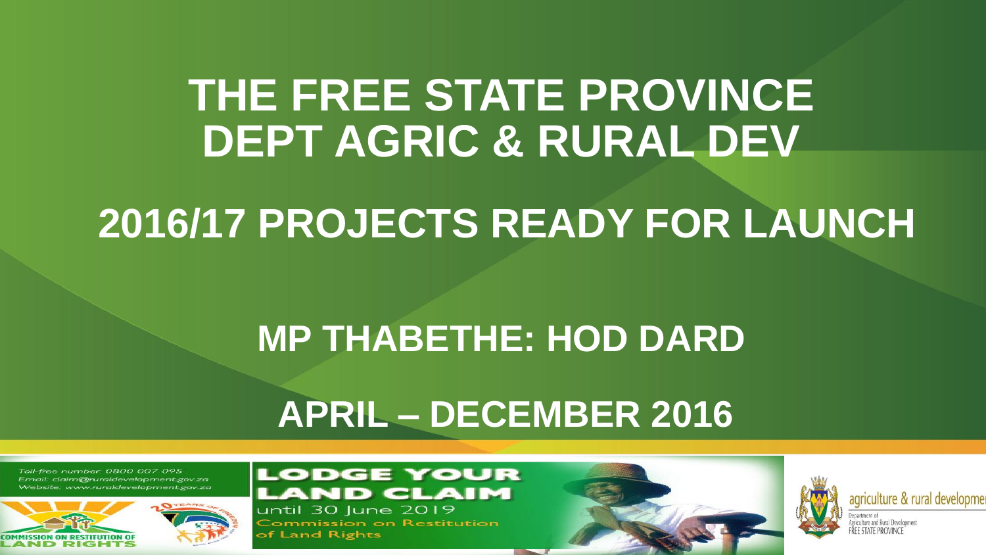## **THE FREE STATE PROVINCE DEPT AGRIC & RURAL DEV**

# **2016/17 PROJECTS READY FOR LAUNCH**

## **MP THABETHE: HOD DARD**

## **APRIL – DECEMBER 2016**

Toll-free number: 0800 007 095 Email: claim@ruraldevelopment.gov.za www.ruraldevelopment.gov.za



#### **LODGE YOUR ND CLAIM** until 30 June 2019

**Commission on Restitution** of Land Rights



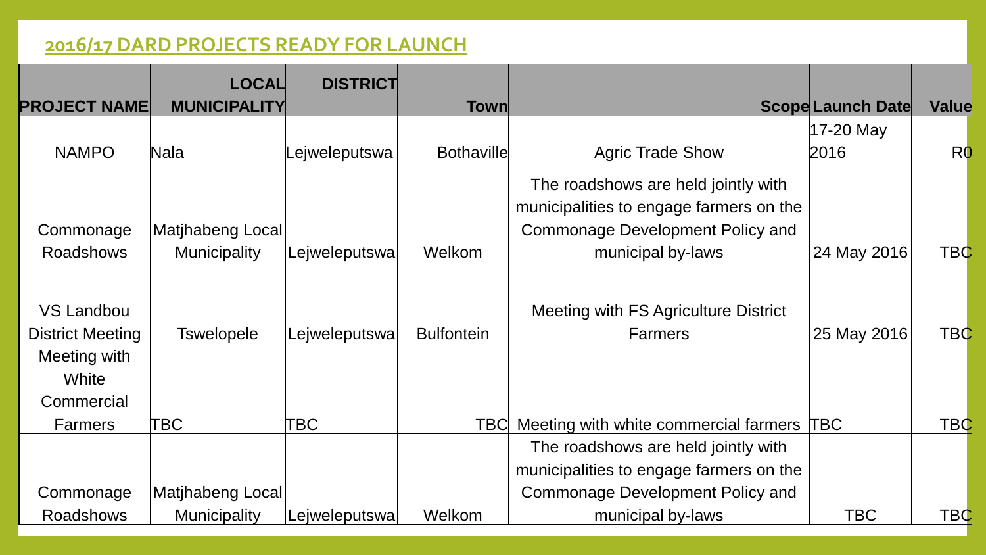### **2016/17 DARD PROJECTS READY FOR LAUNCH**

|                         | <b>LOCAL</b>        | <b>DISTRICT</b> |                   |                                           |                          |                |
|-------------------------|---------------------|-----------------|-------------------|-------------------------------------------|--------------------------|----------------|
| <b>PROJECT NAME</b>     | <b>MUNICIPALITY</b> |                 | <b>Town</b>       |                                           | <b>Scope Launch Date</b> | Value          |
|                         |                     |                 |                   |                                           | 17-20 May                |                |
| <b>NAMPO</b>            | Nala                | ejweleputswa    | <b>Bothaville</b> | <b>Agric Trade Show</b>                   | 2016                     | R <sub>0</sub> |
|                         |                     |                 |                   | The roadshows are held jointly with       |                          |                |
|                         |                     |                 |                   | municipalities to engage farmers on the   |                          |                |
| Commonage               | Matjhabeng Local    |                 |                   | <b>Commonage Development Policy and</b>   |                          |                |
| <b>Roadshows</b>        | <b>Municipality</b> | Lejweleputswa   | Welkom            | municipal by-laws                         | 24 May 2016              | <b>TBC</b>     |
|                         |                     |                 |                   |                                           |                          |                |
| VS Landbou              |                     |                 |                   | Meeting with FS Agriculture District      |                          |                |
| <b>District Meeting</b> | <b>Tswelopele</b>   | Lejweleputswa   | <b>Bulfontein</b> | <b>Farmers</b>                            | 25 May 2016              | <b>TBC</b>     |
| Meeting with            |                     |                 |                   |                                           |                          |                |
| White                   |                     |                 |                   |                                           |                          |                |
| Commercial              |                     |                 |                   |                                           |                          |                |
| <b>Farmers</b>          | ТВС                 | TBC             | TBCI              | Meeting with white commercial farmers TBC |                          | <b>TBC</b>     |
|                         |                     |                 |                   | The roadshows are held jointly with       |                          |                |
|                         |                     |                 |                   | municipalities to engage farmers on the   |                          |                |
| Commonage               | Matjhabeng Local    |                 |                   | Commonage Development Policy and          |                          |                |
| <b>Roadshows</b>        | <b>Municipality</b> | Lejweleputswa   | Welkom            | municipal by-laws                         | <b>TBC</b>               | <b>TBC</b>     |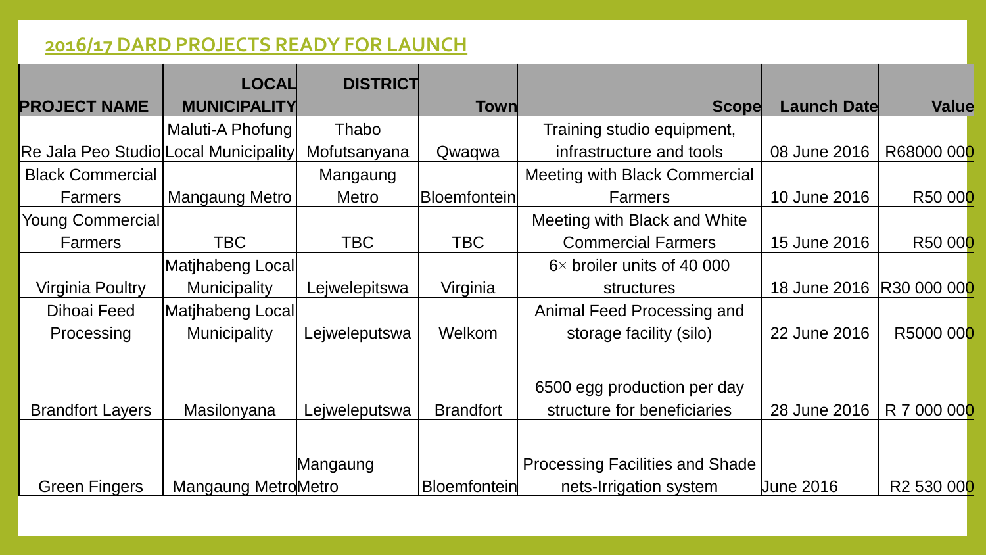### **2016/17 DARD PROJECTS READY FOR LAUNCH**

|                                       | <b>LOCAL</b>        | <b>DISTRICT</b> |                     |                                        |                           |                        |
|---------------------------------------|---------------------|-----------------|---------------------|----------------------------------------|---------------------------|------------------------|
| <b>PROJECT NAME</b>                   | <b>MUNICIPALITY</b> |                 | Town                | <b>Scope</b>                           | <b>Launch Date</b>        | Value                  |
|                                       | Maluti-A Phofung    | Thabo           |                     | Training studio equipment,             |                           |                        |
| Re Jala Peo Studio Local Municipality |                     | Mofutsanyana    | Qwaqwa              | infrastructure and tools               | 08 June 2016              | R68000 000             |
| <b>Black Commercial</b>               |                     | Mangaung        |                     | <b>Meeting with Black Commercial</b>   |                           |                        |
| <b>Farmers</b>                        | Mangaung Metro      | <b>Metro</b>    | <b>Bloemfontein</b> | <b>Farmers</b>                         | 10 June 2016              | R50 000                |
| <b>Young Commercial</b>               |                     |                 |                     | Meeting with Black and White           |                           |                        |
| <b>Farmers</b>                        | <b>TBC</b>          | <b>TBC</b>      | <b>TBC</b>          | <b>Commercial Farmers</b>              | 15 June 2016              | R50 000                |
|                                       | Matjhabeng Local    |                 |                     | $6\times$ broiler units of 40 000      |                           |                        |
| Virginia Poultry                      | <b>Municipality</b> | Lejwelepitswa   | Virginia            | <b>structures</b>                      | 18 June 2016  R30 000 000 |                        |
| Dihoai Feed                           | Matihabeng Local    |                 |                     | Animal Feed Processing and             |                           |                        |
| Processing                            | <b>Municipality</b> | Lejweleputswa   | Welkom              | storage facility (silo)                | 22 June 2016              | R5000 000              |
|                                       |                     |                 |                     |                                        |                           |                        |
|                                       |                     |                 |                     | 6500 egg production per day            |                           |                        |
| <b>Brandfort Layers</b>               | Masilonyana         | Lejweleputswa   | <b>Brandfort</b>    | structure for beneficiaries            | 28 June 2016              | R 7 000 000            |
|                                       |                     |                 |                     |                                        |                           |                        |
|                                       |                     | Mangaung        |                     | <b>Processing Facilities and Shade</b> |                           |                        |
| <b>Green Fingers</b>                  | Mangaung MetroMetro |                 | <b>Bloemfontein</b> | nets-Irrigation system                 | <b>June 2016</b>          | R <sub>2</sub> 530 000 |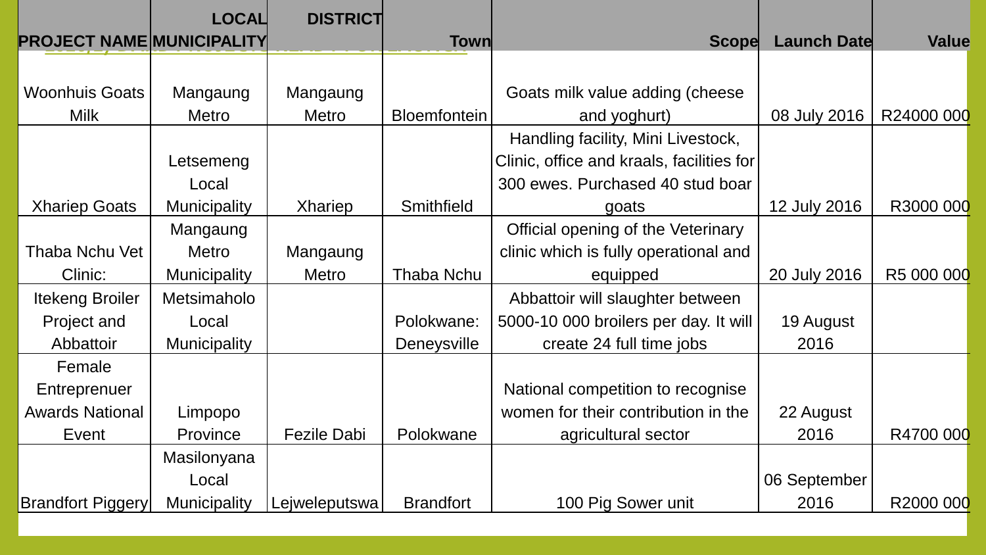|                                  | <b>LOCAL</b>        | <b>DISTRICT</b>    |                     |                                           |                    |            |
|----------------------------------|---------------------|--------------------|---------------------|-------------------------------------------|--------------------|------------|
| <b>PROJECT NAME MUNICIPALITY</b> |                     |                    | Town                | <b>Scope</b>                              | <b>Launch Date</b> | Value      |
|                                  |                     |                    |                     |                                           |                    |            |
| <b>Woonhuis Goats</b>            | Mangaung            | Mangaung           |                     | Goats milk value adding (cheese           |                    |            |
| <b>Milk</b>                      | <b>Metro</b>        | <b>Metro</b>       | <b>Bloemfontein</b> | and yoghurt)                              | 08 July 2016       | R24000 000 |
|                                  |                     |                    |                     | Handling facility, Mini Livestock,        |                    |            |
|                                  | Letsemeng           |                    |                     | Clinic, office and kraals, facilities for |                    |            |
|                                  | Local               |                    |                     | 300 ewes. Purchased 40 stud boar          |                    |            |
| <b>Xhariep Goats</b>             | <b>Municipality</b> | <b>Xhariep</b>     | Smithfield          | goats                                     | 12 July 2016       | R3000 000  |
|                                  | Mangaung            |                    |                     | Official opening of the Veterinary        |                    |            |
| Thaba Nchu Vet                   | <b>Metro</b>        | Mangaung           |                     | clinic which is fully operational and     |                    |            |
| Clinic:                          | <b>Municipality</b> | <b>Metro</b>       | <b>Thaba Nchu</b>   | equipped                                  | 20 July 2016       | R5 000 000 |
| <b>Itekeng Broiler</b>           | Metsimaholo         |                    |                     | Abbattoir will slaughter between          |                    |            |
| Project and                      | Local               |                    | Polokwane:          | 5000-10 000 broilers per day. It will     | 19 August          |            |
| Abbattoir                        | <b>Municipality</b> |                    | <b>Deneysville</b>  | create 24 full time jobs                  | 2016               |            |
| Female                           |                     |                    |                     |                                           |                    |            |
| Entreprenuer                     |                     |                    |                     | National competition to recognise         |                    |            |
| <b>Awards National</b>           | Limpopo             |                    |                     | women for their contribution in the       | 22 August          |            |
| Event                            | Province            | <b>Fezile Dabi</b> | Polokwane           | agricultural sector                       | 2016               | R4700 000  |
|                                  | Masilonyana         |                    |                     |                                           |                    |            |
|                                  | Local               |                    |                     |                                           | 06 September       |            |
| <b>Brandfort Piggery</b>         | <b>Municipality</b> | Lejweleputswa      | <b>Brandfort</b>    | 100 Pig Sower unit                        | 2016               | R2000 000  |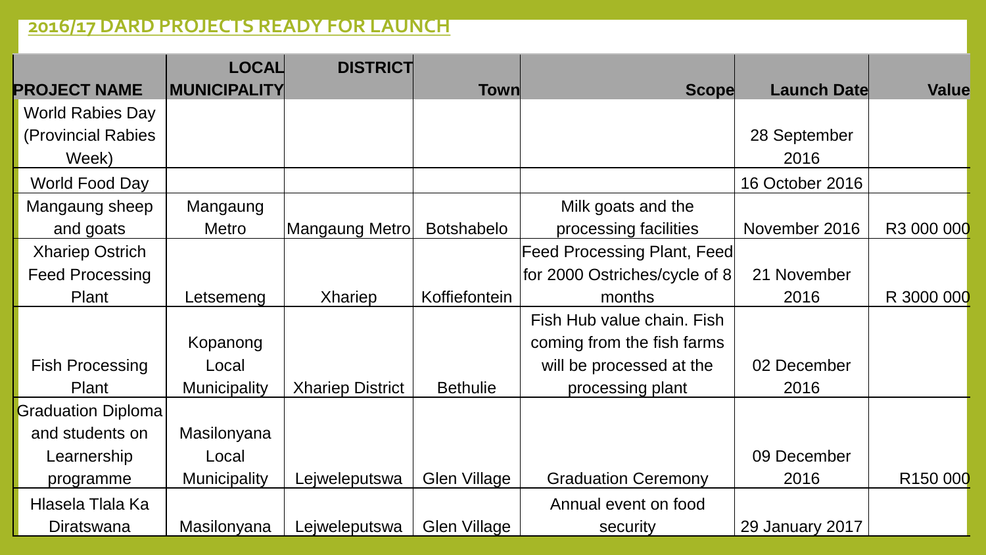### **2016/17 DARD PROJECTS READY FOR LAUNCH**

|                           | <b>LOCAL</b>        | <b>DISTRICT</b>         |                     |                                    |                    |                      |
|---------------------------|---------------------|-------------------------|---------------------|------------------------------------|--------------------|----------------------|
| <b>PROJECT NAME</b>       | <b>MUNICIPALITY</b> |                         | Town                | <b>Scope</b>                       | <b>Launch Date</b> | Value                |
| <b>World Rabies Day</b>   |                     |                         |                     |                                    |                    |                      |
| (Provincial Rabies        |                     |                         |                     |                                    | 28 September       |                      |
| Week)                     |                     |                         |                     |                                    | 2016               |                      |
| World Food Day            |                     |                         |                     |                                    | 16 October 2016    |                      |
| Mangaung sheep            | Mangaung            |                         |                     | Milk goats and the                 |                    |                      |
| and goats                 | <b>Metro</b>        | Mangaung Metrol         | <b>Botshabelo</b>   | processing facilities              | November 2016      | R3 000 000           |
| <b>Xhariep Ostrich</b>    |                     |                         |                     | <b>Feed Processing Plant, Feed</b> |                    |                      |
| <b>Feed Processing</b>    |                     |                         |                     | for 2000 Ostriches/cycle of 8      | 21 November        |                      |
| Plant                     | Letsemeng           | <b>Xhariep</b>          | Koffiefontein       | months                             | 2016               | R 3000 000           |
|                           |                     |                         |                     | Fish Hub value chain. Fish         |                    |                      |
|                           | Kopanong            |                         |                     | coming from the fish farms         |                    |                      |
| <b>Fish Processing</b>    | Local               |                         |                     | will be processed at the           | 02 December        |                      |
| Plant                     | <b>Municipality</b> | <b>Xhariep District</b> | <b>Bethulie</b>     | processing plant                   | 2016               |                      |
| <b>Graduation Diploma</b> |                     |                         |                     |                                    |                    |                      |
| and students on           | Masilonyana         |                         |                     |                                    |                    |                      |
| Learnership               | Local               |                         |                     |                                    | 09 December        |                      |
| programme                 | <b>Municipality</b> | Lejweleputswa           | <b>Glen Village</b> | <b>Graduation Ceremony</b>         | 2016               | R <sub>150</sub> 000 |
| Hlasela Tlala Ka          |                     |                         |                     | Annual event on food               |                    |                      |
| Diratswana                | Masilonyana         | Lejweleputswa           | <b>Glen Village</b> | security                           | 29 January 2017    |                      |